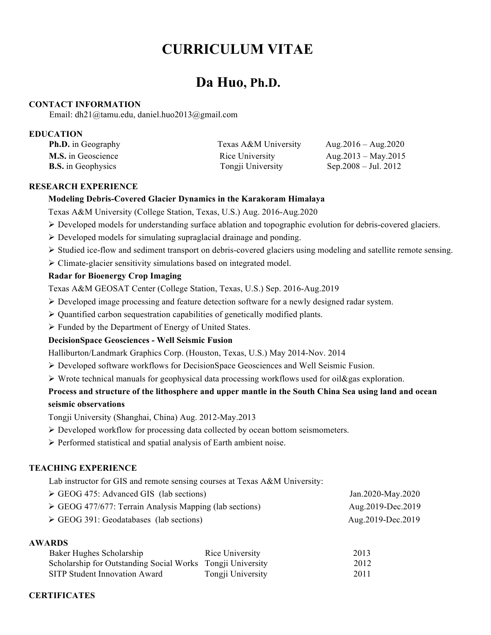# **CURRICULUM VITAE**

## **Da Huo, Ph.D.**

#### **CONTACT INFORMATION**

Email: dh21@tamu.edu, daniel.huo2013@gmail.com

#### **EDUCATION**

| <b>Ph.D.</b> in Geography | Texas A&M University | Aug. $2016 - \text{Aug}. 2020$ |
|---------------------------|----------------------|--------------------------------|
| <b>M.S.</b> in Geoscience | Rice University      | Aug. $2013 - May. 2015$        |
| <b>B.S.</b> in Geophysics | Tongji University    | Sep. $2008 -$ Jul. $2012$      |

### **RESEARCH EXPERIENCE**

#### **Modeling Debris-Covered Glacier Dynamics in the Karakoram Himalaya**

Texas A&M University (College Station, Texas, U.S.) Aug. 2016-Aug.2020

- ! Developed models for understanding surface ablation and topographic evolution for debris-covered glaciers.
- $\triangleright$  Developed models for simulating supraglacial drainage and ponding.
- ! Studied ice-flow and sediment transport on debris-covered glaciers using modeling and satellite remote sensing.
- $\triangleright$  Climate-glacier sensitivity simulations based on integrated model.

## **Radar for Bioenergy Crop Imaging**

Texas A&M GEOSAT Center (College Station, Texas, U.S.) Sep. 2016-Aug.2019

- $\triangleright$  Developed image processing and feature detection software for a newly designed radar system.
- $\triangleright$  Quantified carbon sequestration capabilities of genetically modified plants.
- $\triangleright$  Funded by the Department of Energy of United States.

## **DecisionSpace Geosciences - Well Seismic Fusion**

Halliburton/Landmark Graphics Corp. (Houston, Texas, U.S.) May 2014-Nov. 2014

- $\triangleright$  Developed software workflows for DecisionSpace Geosciences and Well Seismic Fusion.
- $\triangleright$  Wrote technical manuals for geophysical data processing workflows used for oil & gas exploration.

## **Process and structure of the lithosphere and upper mantle in the South China Sea using land and ocean seismic observations**

Tongji University (Shanghai, China) Aug. 2012-May.2013

- $\triangleright$  Developed workflow for processing data collected by ocean bottom seismometers.
- $\triangleright$  Performed statistical and spatial analysis of Earth ambient noise.

## **TEACHING EXPERIENCE**

Lab instructor for GIS and remote sensing courses at Texas A&M University:

| $\triangleright$ GEOG 475: Advanced GIS (lab sections)                 | Jan.2020-May.2020   |
|------------------------------------------------------------------------|---------------------|
| $\triangleright$ GEOG 477/677: Terrain Analysis Mapping (lab sections) | Aug. 2019-Dec. 2019 |
| $\triangleright$ GEOG 391: Geodatabases (lab sections)                 | Aug. 2019-Dec. 2019 |

#### **AWARDS**

| Baker Hughes Scholarship                                   | Rice University   | 2013 |
|------------------------------------------------------------|-------------------|------|
| Scholarship for Outstanding Social Works Tongji University |                   | 2012 |
| SITP Student Innovation Award                              | Tongji University | 2011 |

## **CERTIFICATES**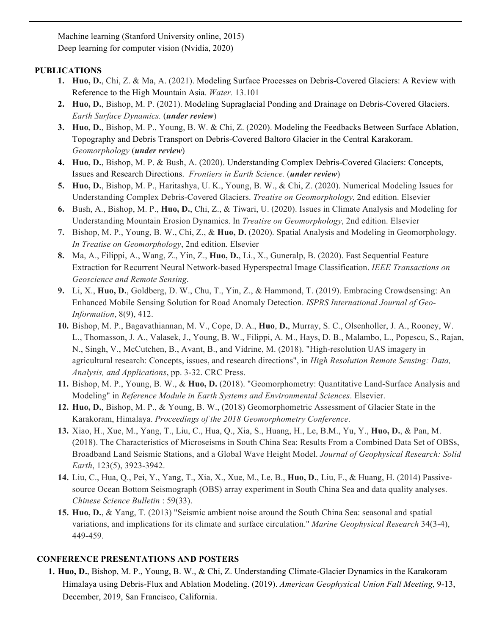Machine learning (Stanford University online, 2015) Deep learning for computer vision (Nvidia, 2020)

## **PUBLICATIONS**

- **1. Huo, D.**, Chi, Z. & Ma, A. (2021). Modeling Surface Processes on Debris-Covered Glaciers: A Review with Reference to the High Mountain Asia. *Water.* 13.101
- **2. Huo, D.**, Bishop, M. P. (2021). Modeling Supraglacial Ponding and Drainage on Debris-Covered Glaciers. *Earth Surface Dynamics.* (*under review*)
- **3. Huo, D.**, Bishop, M. P., Young, B. W. & Chi, Z. (2020). Modeling the Feedbacks Between Surface Ablation, Topography and Debris Transport on Debris-Covered Baltoro Glacier in the Central Karakoram. *Geomorphology* (*under review*)
- **4. Huo, D.**, Bishop, M. P. & Bush, A. (2020). Understanding Complex Debris-Covered Glaciers: Concepts, Issues and Research Directions. *Frontiers in Earth Science.* (*under review*)
- **5. Huo, D.**, Bishop, M. P., Haritashya, U. K., Young, B. W., & Chi, Z. (2020). Numerical Modeling Issues for Understanding Complex Debris-Covered Glaciers. *Treatise on Geomorphology*, 2nd edition. Elsevier
- **6.** Bush, A., Bishop, M. P., **Huo, D.**, Chi, Z., & Tiwari, U. (2020). Issues in Climate Analysis and Modeling for Understanding Mountain Erosion Dynamics. In *Treatise on Geomorphology*, 2nd edition. Elsevier
- **7.** Bishop, M. P., Young, B. W., Chi, Z., & **Huo, D.** (2020). Spatial Analysis and Modeling in Geomorphology. *In Treatise on Geomorphology*, 2nd edition. Elsevier
- **8.** Ma, A., Filippi, A., Wang, Z., Yin, Z., **Huo, D.**, Li., X., Guneralp, B. (2020). Fast Sequential Feature Extraction for Recurrent Neural Network-based Hyperspectral Image Classification. *IEEE Transactions on Geoscience and Remote Sensing*.
- **9.** Li, X., **Huo, D.**, Goldberg, D. W., Chu, T., Yin, Z., & Hammond, T. (2019). Embracing Crowdsensing: An Enhanced Mobile Sensing Solution for Road Anomaly Detection. *ISPRS International Journal of Geo-Information*, 8(9), 412.
- **10.** Bishop, M. P., Bagavathiannan, M. V., Cope, D. A., **Huo**, **D.**, Murray, S. C., Olsenholler, J. A., Rooney, W. L., Thomasson, J. A., Valasek, J., Young, B. W., Filippi, A. M., Hays, D. B., Malambo, L., Popescu, S., Rajan, N., Singh, V., McCutchen, B., Avant, B., and Vidrine, M. (2018). "High-resolution UAS imagery in agricultural research: Concepts, issues, and research directions", in *High Resolution Remote Sensing: Data, Analysis, and Applications*, pp. 3-32. CRC Press.
- **11.** Bishop, M. P., Young, B. W., & **Huo, D.** (2018). "Geomorphometry: Quantitative Land-Surface Analysis and Modeling" in *Reference Module in Earth Systems and Environmental Sciences*. Elsevier.
- **12. Huo, D.**, Bishop, M. P., & Young, B. W., (2018) Geomorphometric Assessment of Glacier State in the Karakoram, Himalaya. *Proceedings of the 2018 Geomorphometry Conference*.
- **13.** Xiao, H., Xue, M., Yang, T., Liu, C., Hua, Q., Xia, S., Huang, H., Le, B.M., Yu, Y., **Huo, D.**, & Pan, M. (2018). The Characteristics of Microseisms in South China Sea: Results From a Combined Data Set of OBSs, Broadband Land Seismic Stations, and a Global Wave Height Model. *Journal of Geophysical Research: Solid Earth*, 123(5), 3923-3942.
- **14.** Liu, C., Hua, Q., Pei, Y., Yang, T., Xia, X., Xue, M., Le, B., **Huo, D.**, Liu, F., & Huang, H. (2014) Passivesource Ocean Bottom Seismograph (OBS) array experiment in South China Sea and data quality analyses. *Chinese Science Bulletin* : 59(33).
- **15. Huo, D.**, & Yang, T. (2013) "Seismic ambient noise around the South China Sea: seasonal and spatial variations, and implications for its climate and surface circulation." *Marine Geophysical Research* 34(3-4), 449-459.

## **CONFERENCE PRESENTATIONS AND POSTERS**

**1. Huo, D.**, Bishop, M. P., Young, B. W., & Chi, Z. Understanding Climate-Glacier Dynamics in the Karakoram Himalaya using Debris-Flux and Ablation Modeling. (2019). *American Geophysical Union Fall Meeting*, 9-13, December, 2019, San Francisco, California.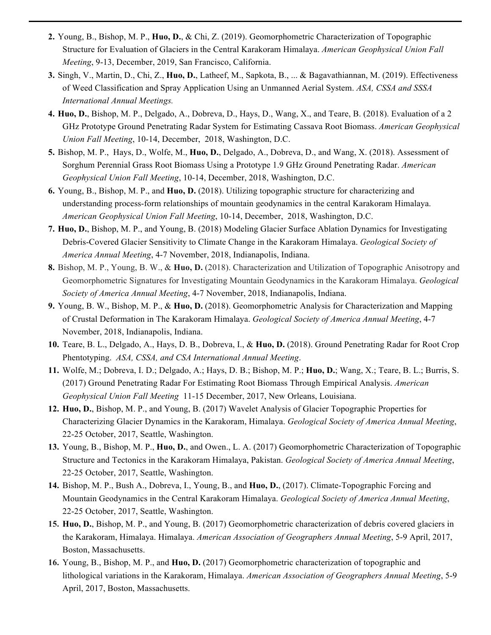- **2.** Young, B., Bishop, M. P., **Huo, D.**, & Chi, Z. (2019). Geomorphometric Characterization of Topographic Structure for Evaluation of Glaciers in the Central Karakoram Himalaya. *American Geophysical Union Fall Meeting*, 9-13, December, 2019, San Francisco, California.
- **3.** Singh, V., Martin, D., Chi, Z., **Huo, D.**, Latheef, M., Sapkota, B., ... & Bagavathiannan, M. (2019). Effectiveness of Weed Classification and Spray Application Using an Unmanned Aerial System. *ASA, CSSA and SSSA International Annual Meetings.*
- **4. Huo, D.**, Bishop, M. P., Delgado, A., Dobreva, D., Hays, D., Wang, X., and Teare, B. (2018). Evaluation of a 2 GHz Prototype Ground Penetrating Radar System for Estimating Cassava Root Biomass. *American Geophysical Union Fall Meeting*, 10-14, December, 2018, Washington, D.C.
- **5.** Bishop, M. P., Hays, D., Wolfe, M., **Huo, D.**, Delgado, A., Dobreva, D., and Wang, X. (2018). Assessment of Sorghum Perennial Grass Root Biomass Using a Prototype 1.9 GHz Ground Penetrating Radar. *American Geophysical Union Fall Meeting*, 10-14, December, 2018, Washington, D.C.
- **6.** Young, B., Bishop, M. P., and **Huo, D.** (2018). Utilizing topographic structure for characterizing and understanding process-form relationships of mountain geodynamics in the central Karakoram Himalaya. *American Geophysical Union Fall Meeting*, 10-14, December, 2018, Washington, D.C.
- **7. Huo, D.**, Bishop, M. P., and Young, B. (2018) Modeling Glacier Surface Ablation Dynamics for Investigating Debris-Covered Glacier Sensitivity to Climate Change in the Karakoram Himalaya. *Geological Society of America Annual Meeting*, 4-7 November, 2018, Indianapolis, Indiana.
- **8.** Bishop, M. P., Young, B. W., & **Huo, D.** (2018). Characterization and Utilization of Topographic Anisotropy and Geomorphometric Signatures for Investigating Mountain Geodynamics in the Karakoram Himalaya. *Geological Society of America Annual Meeting*, 4-7 November, 2018, Indianapolis, Indiana.
- **9.** Young, B. W., Bishop, M. P., & **Huo, D.** (2018). Geomorphometric Analysis for Characterization and Mapping of Crustal Deformation in The Karakoram Himalaya. *Geological Society of America Annual Meeting*, 4-7 November, 2018, Indianapolis, Indiana.
- **10.** Teare, B. L., Delgado, A., Hays, D. B., Dobreva, I., & **Huo, D.** (2018). Ground Penetrating Radar for Root Crop Phentotyping. *ASA, CSSA, and CSA International Annual Meeting*.
- **11.** Wolfe, M.; Dobreva, I. D.; Delgado, A.; Hays, D. B.; Bishop, M. P.; **Huo, D.**; Wang, X.; Teare, B. L.; Burris, S. (2017) Ground Penetrating Radar For Estimating Root Biomass Through Empirical Analysis. *American Geophysical Union Fall Meeting* 11-15 December, 2017, New Orleans, Louisiana.
- **12. Huo, D.**, Bishop, M. P., and Young, B. (2017) Wavelet Analysis of Glacier Topographic Properties for Characterizing Glacier Dynamics in the Karakoram, Himalaya. *Geological Society of America Annual Meeting*, 22-25 October, 2017, Seattle, Washington.
- **13.** Young, B., Bishop, M. P., **Huo, D.**, and Owen., L. A. (2017) Geomorphometric Characterization of Topographic Structure and Tectonics in the Karakoram Himalaya, Pakistan. *Geological Society of America Annual Meeting*, 22-25 October, 2017, Seattle, Washington.
- **14.** Bishop, M. P., Bush A., Dobreva, I., Young, B., and **Huo, D.**, (2017). Climate-Topographic Forcing and Mountain Geodynamics in the Central Karakoram Himalaya. *Geological Society of America Annual Meeting*, 22-25 October, 2017, Seattle, Washington.
- **15. Huo, D.**, Bishop, M. P., and Young, B. (2017) Geomorphometric characterization of debris covered glaciers in the Karakoram, Himalaya. Himalaya. *American Association of Geographers Annual Meeting*, 5-9 April, 2017, Boston, Massachusetts.
- **16.** Young, B., Bishop, M. P., and **Huo, D.** (2017) Geomorphometric characterization of topographic and lithological variations in the Karakoram, Himalaya. *American Association of Geographers Annual Meeting*, 5-9 April, 2017, Boston, Massachusetts.